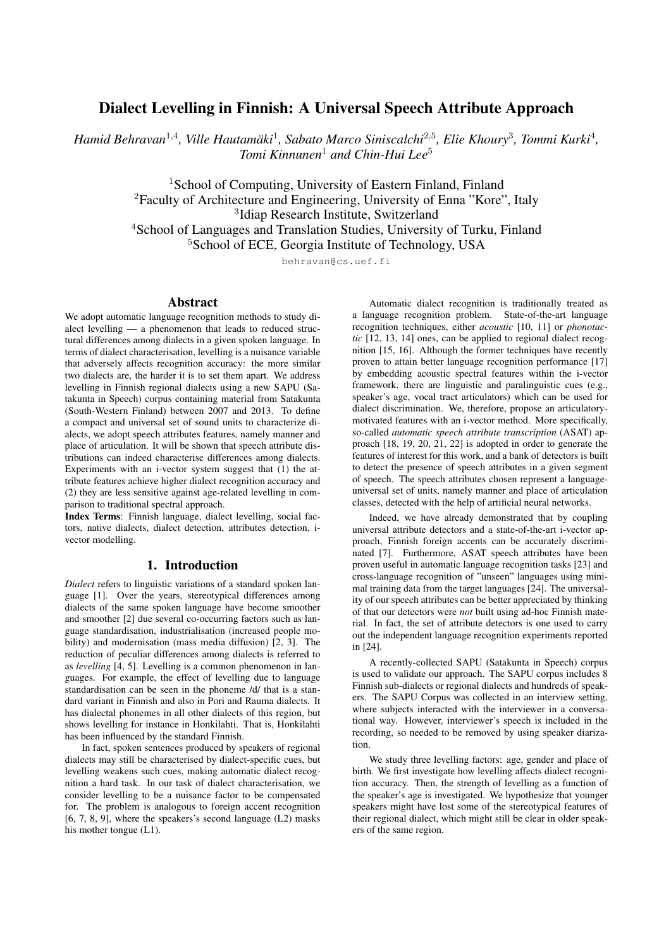# Dialect Levelling in Finnish: A Universal Speech Attribute Approach

*Hamid Behravan<sup>1,4</sup>, Ville Hautamäki<sup>1</sup>, Sabato Marco Siniscalchi<sup>2,5</sup>, Elie Khoury<sup>3</sup>, Tommi Kurki<sup>4</sup>, Tomi Kinnunen*<sup>1</sup> *and Chin-Hui Lee*<sup>5</sup>

> <sup>1</sup>School of Computing, University of Eastern Finland, Finland <sup>2</sup>Faculty of Architecture and Engineering, University of Enna "Kore", Italy 3 Idiap Research Institute, Switzerland <sup>4</sup>School of Languages and Translation Studies, University of Turku, Finland <sup>5</sup>School of ECE, Georgia Institute of Technology, USA

> > behravan@cs.uef.fi

#### Abstract

We adopt automatic language recognition methods to study dialect levelling — a phenomenon that leads to reduced structural differences among dialects in a given spoken language. In terms of dialect characterisation, levelling is a nuisance variable that adversely affects recognition accuracy: the more similar two dialects are, the harder it is to set them apart. We address levelling in Finnish regional dialects using a new SAPU (Satakunta in Speech) corpus containing material from Satakunta (South-Western Finland) between 2007 and 2013. To define a compact and universal set of sound units to characterize dialects, we adopt speech attributes features, namely manner and place of articulation. It will be shown that speech attribute distributions can indeed characterise differences among dialects. Experiments with an i-vector system suggest that (1) the attribute features achieve higher dialect recognition accuracy and (2) they are less sensitive against age-related levelling in comparison to traditional spectral approach.

Index Terms: Finnish language, dialect levelling, social factors, native dialects, dialect detection, attributes detection, ivector modelling.

## 1. Introduction

*Dialect* refers to linguistic variations of a standard spoken language [1]. Over the years, stereotypical differences among dialects of the same spoken language have become smoother and smoother [2] due several co-occurring factors such as language standardisation, industrialisation (increased people mobility) and modernisation (mass media diffusion) [2, 3]. The reduction of peculiar differences among dialects is referred to as *levelling* [4, 5]. Levelling is a common phenomenon in languages. For example, the effect of levelling due to language standardisation can be seen in the phoneme /d/ that is a standard variant in Finnish and also in Pori and Rauma dialects. It has dialectal phonemes in all other dialects of this region, but shows levelling for instance in Honkilahti. That is, Honkilahti has been influenced by the standard Finnish.

In fact, spoken sentences produced by speakers of regional dialects may still be characterised by dialect-specific cues, but levelling weakens such cues, making automatic dialect recognition a hard task. In our task of dialect characterisation, we consider levelling to be a nuisance factor to be compensated for. The problem is analogous to foreign accent recognition  $[6, 7, 8, 9]$ , where the speakers's second language  $(L2)$  masks his mother tongue (L1).

Automatic dialect recognition is traditionally treated as a language recognition problem. State-of-the-art language recognition techniques, either *acoustic* [10, 11] or *phonotactic* [12, 13, 14] ones, can be applied to regional dialect recognition [15, 16]. Although the former techniques have recently proven to attain better language recognition performance [17] by embedding acoustic spectral features within the i-vector framework, there are linguistic and paralinguistic cues (e.g., speaker's age, vocal tract articulators) which can be used for dialect discrimination. We, therefore, propose an articulatorymotivated features with an i-vector method. More specifically, so-called *automatic speech attribute transcription* (ASAT) approach [18, 19, 20, 21, 22] is adopted in order to generate the features of interest for this work, and a bank of detectors is built to detect the presence of speech attributes in a given segment of speech. The speech attributes chosen represent a languageuniversal set of units, namely manner and place of articulation classes, detected with the help of artificial neural networks.

Indeed, we have already demonstrated that by coupling universal attribute detectors and a state-of-the-art i-vector approach, Finnish foreign accents can be accurately discriminated [7]. Furthermore, ASAT speech attributes have been proven useful in automatic language recognition tasks [23] and cross-language recognition of "unseen" languages using minimal training data from the target languages [24]. The universality of our speech attributes can be better appreciated by thinking of that our detectors were *not* built using ad-hoc Finnish material. In fact, the set of attribute detectors is one used to carry out the independent language recognition experiments reported in [24].

A recently-collected SAPU (Satakunta in Speech) corpus is used to validate our approach. The SAPU corpus includes 8 Finnish sub-dialects or regional dialects and hundreds of speakers. The SAPU Corpus was collected in an interview setting, where subjects interacted with the interviewer in a conversational way. However, interviewer's speech is included in the recording, so needed to be removed by using speaker diarization.

We study three levelling factors: age, gender and place of birth. We first investigate how levelling affects dialect recognition accuracy. Then, the strength of levelling as a function of the speaker's age is investigated. We hypothesize that younger speakers might have lost some of the stereotypical features of their regional dialect, which might still be clear in older speakers of the same region.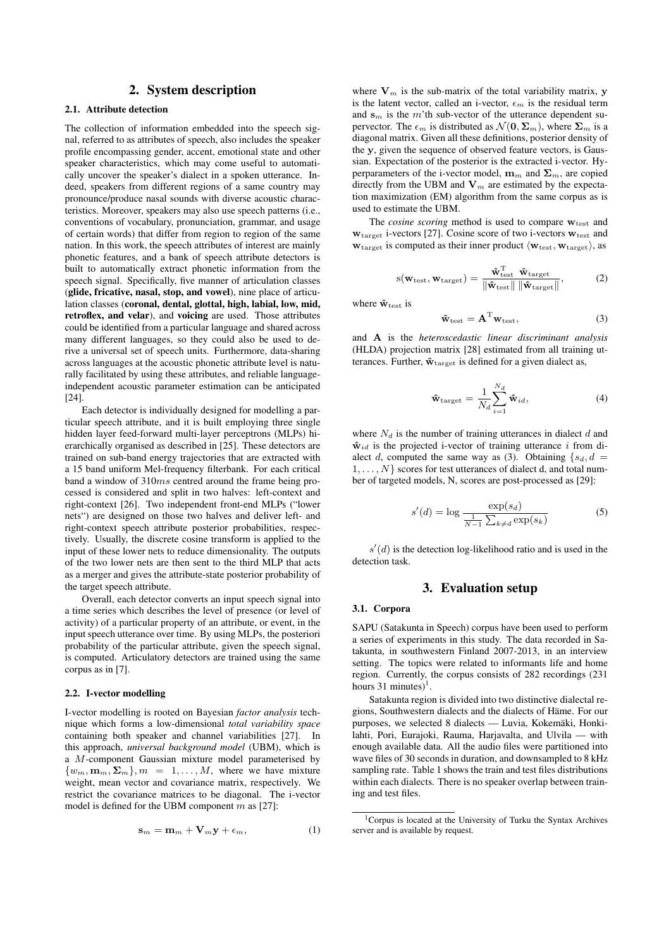## 2. System description

#### 2.1. Attribute detection

The collection of information embedded into the speech signal, referred to as attributes of speech, also includes the speaker profile encompassing gender, accent, emotional state and other speaker characteristics, which may come useful to automatically uncover the speaker's dialect in a spoken utterance. Indeed, speakers from different regions of a same country may pronounce/produce nasal sounds with diverse acoustic characteristics. Moreover, speakers may also use speech patterns (i.e., conventions of vocabulary, pronunciation, grammar, and usage of certain words) that differ from region to region of the same nation. In this work, the speech attributes of interest are mainly phonetic features, and a bank of speech attribute detectors is built to automatically extract phonetic information from the speech signal. Specifically, five manner of articulation classes (glide, fricative, nasal, stop, and vowel), nine place of articulation classes (coronal, dental, glottal, high, labial, low, mid, retroflex, and velar), and voicing are used. Those attributes could be identified from a particular language and shared across many different languages, so they could also be used to derive a universal set of speech units. Furthermore, data-sharing across languages at the acoustic phonetic attribute level is naturally facilitated by using these attributes, and reliable languageindependent acoustic parameter estimation can be anticipated [24].

Each detector is individually designed for modelling a particular speech attribute, and it is built employing three single hidden layer feed-forward multi-layer perceptrons (MLPs) hierarchically organised as described in [25]. These detectors are trained on sub-band energy trajectories that are extracted with a 15 band uniform Mel-frequency filterbank. For each critical band a window of 310ms centred around the frame being processed is considered and split in two halves: left-context and right-context [26]. Two independent front-end MLPs ("lower nets") are designed on those two halves and deliver left- and right-context speech attribute posterior probabilities, respectively. Usually, the discrete cosine transform is applied to the input of these lower nets to reduce dimensionality. The outputs of the two lower nets are then sent to the third MLP that acts as a merger and gives the attribute-state posterior probability of the target speech attribute.

Overall, each detector converts an input speech signal into a time series which describes the level of presence (or level of activity) of a particular property of an attribute, or event, in the input speech utterance over time. By using MLPs, the posteriori probability of the particular attribute, given the speech signal, is computed. Articulatory detectors are trained using the same corpus as in [7].

#### 2.2. I-vector modelling

I-vector modelling is rooted on Bayesian *factor analysis* technique which forms a low-dimensional *total variability space* containing both speaker and channel variabilities [27]. In this approach, *universal background model* (UBM), which is a M-component Gaussian mixture model parameterised by  ${w_m, \mathbf{m}_m, \Sigma_m}, m = 1, \dots, M$ , where we have mixture weight, mean vector and covariance matrix, respectively. We restrict the covariance matrices to be diagonal. The i-vector model is defined for the UBM component  $m$  as [27]:

$$
\mathbf{s}_m = \mathbf{m}_m + \mathbf{V}_m \mathbf{y} + \epsilon_m, \tag{1}
$$

where  $V_m$  is the sub-matrix of the total variability matrix, y is the latent vector, called an i-vector,  $\epsilon_m$  is the residual term and  $s_m$  is the m'th sub-vector of the utterance dependent supervector. The  $\epsilon_m$  is distributed as  $\mathcal{N}(\mathbf{0}, \Sigma_m)$ , where  $\Sigma_m$  is a diagonal matrix. Given all these definitions, posterior density of the y, given the sequence of observed feature vectors, is Gaussian. Expectation of the posterior is the extracted i-vector. Hyperparameters of the i-vector model,  $\mathbf{m}_m$  and  $\mathbf{\Sigma}_m$ , are copied directly from the UBM and  $V_m$  are estimated by the expectation maximization (EM) algorithm from the same corpus as is used to estimate the UBM.

The *cosine scoring* method is used to compare  $w_{test}$  and  $w_{\text{target}}$  i-vectors [27]. Cosine score of two i-vectors  $w_{\text{test}}$  and  $w_{\text{target}}$  is computed as their inner product  $\langle w_{\text{test}}, w_{\text{target}} \rangle$ , as

$$
s(\mathbf{w}_{\text{test}}, \mathbf{w}_{\text{target}}) = \frac{\hat{\mathbf{w}}_{\text{test}}^{\text{T}} \hat{\mathbf{w}}_{\text{target}}}{\|\hat{\mathbf{w}}_{\text{test}}\| \|\hat{\mathbf{w}}_{\text{target}}\|},\tag{2}
$$

where  $\mathbf{\hat{w}}_{\text{test}}$  is

$$
\hat{\mathbf{w}}_{\text{test}} = \mathbf{A}^{\text{T}} \mathbf{w}_{\text{test}},\tag{3}
$$

and A is the *heteroscedastic linear discriminant analysis* (HLDA) projection matrix [28] estimated from all training utterances. Further,  $\mathbf{\hat{w}}_{\text{target}}$  is defined for a given dialect as,

$$
\hat{\mathbf{w}}_{\text{target}} = \frac{1}{N_d} \sum_{i=1}^{N_d} \hat{\mathbf{w}}_{id},
$$
\n(4)

where  $N_d$  is the number of training utterances in dialect  $d$  and  $\hat{\mathbf{w}}_{id}$  is the projected i-vector of training utterance i from dialect d, computed the same way as (3). Obtaining  $\{s_d, d\}$  $1, \ldots, N$  scores for test utterances of dialect d, and total number of targeted models, N, scores are post-processed as [29]:

$$
s'(d) = \log \frac{\exp(s_d)}{\frac{1}{N-1} \sum_{k \neq d} \exp(s_k)}\tag{5}
$$

 $s'(d)$  is the detection log-likelihood ratio and is used in the detection task.

## 3. Evaluation setup

#### 3.1. Corpora

SAPU (Satakunta in Speech) corpus have been used to perform a series of experiments in this study. The data recorded in Satakunta, in southwestern Finland 2007-2013, in an interview setting. The topics were related to informants life and home region. Currently, the corpus consists of 282 recordings (231 hours  $31$  minutes)<sup>1</sup>.

Satakunta region is divided into two distinctive dialectal regions, Southwestern dialects and the dialects of Häme. For our purposes, we selected 8 dialects — Luvia, Kokemäki, Honkilahti, Pori, Eurajoki, Rauma, Harjavalta, and Ulvila — with enough available data. All the audio files were partitioned into wave files of 30 seconds in duration, and downsampled to 8 kHz sampling rate. Table 1 shows the train and test files distributions within each dialects. There is no speaker overlap between training and test files.

<sup>1</sup>Corpus is located at the University of Turku the Syntax Archives server and is available by request.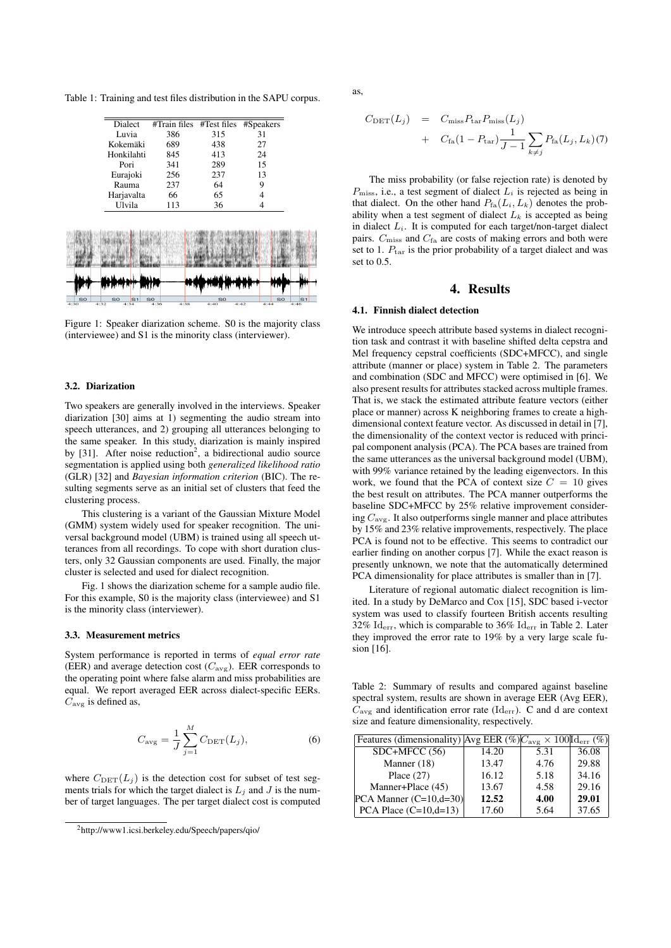Table 1: Training and test files distribution in the SAPU corpus.

| Dialect<br>Luvia | $#Train$ files | #Test files                     | #Speakers |   |
|------------------|----------------|---------------------------------|-----------|---|
|                  |                |                                 |           |   |
|                  | 386            | 315                             | 31        |   |
| Kokemäki         |                | 438                             | 27        |   |
|                  | 845            | 413                             | 24        |   |
| Pori             | 341            | 289                             | 15        |   |
| Eurajoki         | 256            | 237                             | 13        |   |
| Rauma            | 237            | 64                              | 9         |   |
|                  | 66             | 65                              | 4         |   |
| Ulvila           | 113            | 36                              |           |   |
|                  |                |                                 |           |   |
|                  |                |                                 |           |   |
|                  |                |                                 |           |   |
|                  |                | 689<br>Honkilahti<br>Harjavalta |           | 4 |

Figure 1: Speaker diarization scheme. S0 is the majority class (interviewee) and S1 is the minority class (interviewer).

#### 3.2. Diarization

Two speakers are generally involved in the interviews. Speaker diarization [30] aims at 1) segmenting the audio stream into speech utterances, and 2) grouping all utterances belonging to the same speaker. In this study, diarization is mainly inspired by [31]. After noise reduction<sup>2</sup>, a bidirectional audio source segmentation is applied using both *generalized likelihood ratio* (GLR) [32] and *Bayesian information criterion* (BIC). The resulting segments serve as an initial set of clusters that feed the clustering process.

This clustering is a variant of the Gaussian Mixture Model (GMM) system widely used for speaker recognition. The universal background model (UBM) is trained using all speech utterances from all recordings. To cope with short duration clusters, only 32 Gaussian components are used. Finally, the major cluster is selected and used for dialect recognition.

Fig. 1 shows the diarization scheme for a sample audio file. For this example, S0 is the majority class (interviewee) and S1 is the minority class (interviewer).

#### 3.3. Measurement metrics

System performance is reported in terms of *equal error rate* (EER) and average detection cost  $(C_{\text{avg}})$ . EER corresponds to the operating point where false alarm and miss probabilities are equal. We report averaged EER across dialect-specific EERs.  $C_{\text{avg}}$  is defined as,

$$
C_{\text{avg}} = \frac{1}{J} \sum_{j=1}^{M} C_{\text{DET}}(L_j),
$$
 (6)

where  $C_{\text{DET}}(L_j)$  is the detection cost for subset of test segments trials for which the target dialect is  $L_i$  and J is the number of target languages. The per target dialect cost is computed as,

$$
C_{\text{DET}}(L_j) = C_{\text{miss}} P_{\text{tar}} P_{\text{miss}}(L_j)
$$
  
+ 
$$
C_{\text{fa}} (1 - P_{\text{tar}}) \frac{1}{J - 1} \sum_{k \neq j} P_{\text{fa}}(L_j, L_k)(7)
$$

The miss probability (or false rejection rate) is denoted by  $P_{\text{miss}}$ , i.e., a test segment of dialect  $L_i$  is rejected as being in that dialect. On the other hand  $P_{fa}(L_i, L_k)$  denotes the probability when a test segment of dialect  $L_k$  is accepted as being in dialect  $L<sub>i</sub>$ . It is computed for each target/non-target dialect pairs.  $C_{\text{miss}}$  and  $C_{\text{fa}}$  are costs of making errors and both were set to 1.  $P_{\text{tar}}$  is the prior probability of a target dialect and was set to 0.5.

## 4. Results

#### 4.1. Finnish dialect detection

We introduce speech attribute based systems in dialect recognition task and contrast it with baseline shifted delta cepstra and Mel frequency cepstral coefficients (SDC+MFCC), and single attribute (manner or place) system in Table 2. The parameters and combination (SDC and MFCC) were optimised in [6]. We also present results for attributes stacked across multiple frames. That is, we stack the estimated attribute feature vectors (either place or manner) across K neighboring frames to create a highdimensional context feature vector. As discussed in detail in [7], the dimensionality of the context vector is reduced with principal component analysis (PCA). The PCA bases are trained from the same utterances as the universal background model (UBM), with 99% variance retained by the leading eigenvectors. In this work, we found that the PCA of context size  $C = 10$  gives the best result on attributes. The PCA manner outperforms the baseline SDC+MFCC by 25% relative improvement considering  $C_{\text{ave}}$ . It also outperforms single manner and place attributes by 15% and 23% relative improvements, respectively. The place PCA is found not to be effective. This seems to contradict our earlier finding on another corpus [7]. While the exact reason is presently unknown, we note that the automatically determined PCA dimensionality for place attributes is smaller than in [7].

Literature of regional automatic dialect recognition is limited. In a study by DeMarco and Cox [15], SDC based i-vector system was used to classify fourteen British accents resulting 32%  $\mathrm{Id}_{\mathrm{err}}$ , which is comparable to 36%  $\mathrm{Id}_{\mathrm{err}}$  in Table 2. Later they improved the error rate to 19% by a very large scale fusion [16].

Table 2: Summary of results and compared against baseline spectral system, results are shown in average EER (Avg EER),  $C_{\text{avg}}$  and identification error rate (Id<sub>err</sub>). C and d are context size and feature dimensionality, respectively.

| Features (dimensionality) $\text{Avg EER } (\%)C_{\text{avg}} \times 100 \text{Id}_{\text{err}} (\%)$ |       |      |       |
|-------------------------------------------------------------------------------------------------------|-------|------|-------|
| $SDC+MFCC(56)$                                                                                        | 14.20 | 5.31 | 36.08 |
| Manner (18)                                                                                           | 13.47 | 4.76 | 29.88 |
| Place $(27)$                                                                                          | 16.12 | 5.18 | 34.16 |
| Manner+Place (45)                                                                                     | 13.67 | 4.58 | 29.16 |
| $PCA$ Manner $(C=10,d=30)$                                                                            | 12.52 | 4.00 | 29.01 |
| PCA Place $(C=10,d=13)$                                                                               | 17.60 | 5.64 | 37.65 |

<sup>2</sup>http://www1.icsi.berkeley.edu/Speech/papers/qio/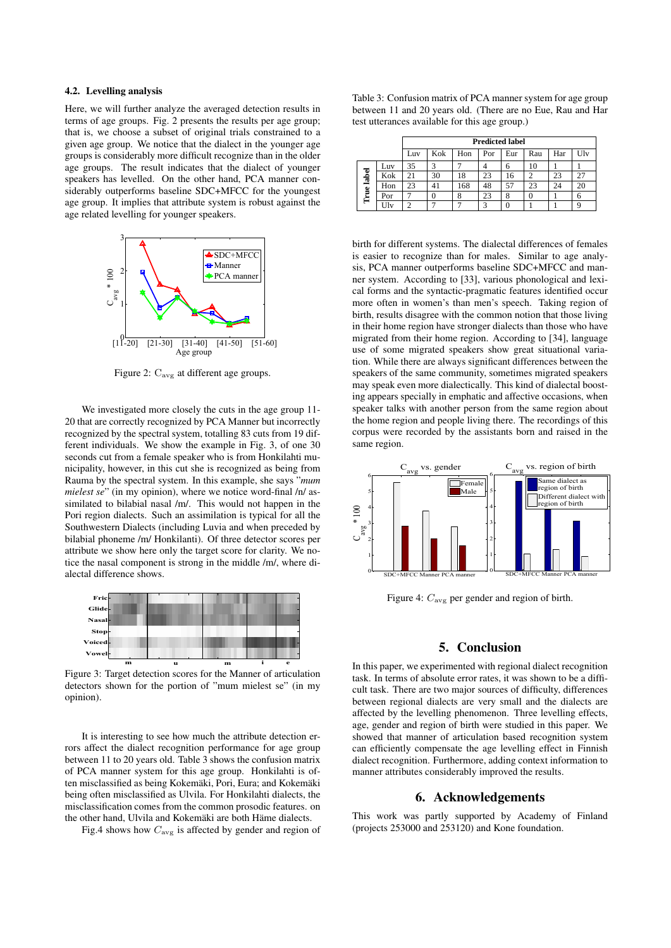## 4.2. Levelling analysis

Here, we will further analyze the averaged detection results in terms of age groups. Fig. 2 presents the results per age group; that is, we choose a subset of original trials constrained to a given age group. We notice that the dialect in the younger age groups is considerably more difficult recognize than in the older age groups. The result indicates that the dialect of younger speakers has levelled. On the other hand, PCA manner considerably outperforms baseline SDC+MFCC for the youngest age group. It implies that attribute system is robust against the age related levelling for younger speakers.



Figure 2:  $C_{\text{avg}}$  at different age groups.

We investigated more closely the cuts in the age group 11- 20 that are correctly recognized by PCA Manner but incorrectly recognized by the spectral system, totalling 83 cuts from 19 different individuals. We show the example in Fig. 3, of one 30 seconds cut from a female speaker who is from Honkilahti municipality, however, in this cut she is recognized as being from Rauma by the spectral system. In this example, she says "*mum mielest se*" (in my opinion), where we notice word-final /n/ assimilated to bilabial nasal /m/. This would not happen in the Pori region dialects. Such an assimilation is typical for all the Southwestern Dialects (including Luvia and when preceded by bilabial phoneme /m/ Honkilanti). Of three detector scores per attribute we show here only the target score for clarity. We notice the nasal component is strong in the middle /m/, where dialectal difference shows.



Figure 3: Target detection scores for the Manner of articulation detectors shown for the portion of "mum mielest se" (in my opinion).

It is interesting to see how much the attribute detection errors affect the dialect recognition performance for age group between 11 to 20 years old. Table 3 shows the confusion matrix of PCA manner system for this age group. Honkilahti is often misclassified as being Kokemäki, Pori, Eura; and Kokemäki being often misclassified as Ulvila. For Honkilahti dialects, the misclassification comes from the common prosodic features. on the other hand, Ulvila and Kokemäki are both Häme dialects.

Fig.4 shows how  $C_{\text{avg}}$  is affected by gender and region of

Table 3: Confusion matrix of PCA manner system for age group between 11 and 20 years old. (There are no Eue, Rau and Har test utterances available for this age group.)

|            |     | <b>Predicted label</b> |                |     |     |     |     |     |     |
|------------|-----|------------------------|----------------|-----|-----|-----|-----|-----|-----|
|            |     | Luv                    | Kok            | Hon | Por | Eur | Rau | Har | Ulv |
| True label | Luv | 35                     | 3              |     |     | 6   | 10  |     |     |
|            | Kok | 21                     | 30             | 18  | 23  | 16  |     | 23  | າາ  |
|            | Hon | 23                     | 4 <sub>1</sub> | 168 | 48  | 57  | 23  | 24  | 20  |
|            | Por |                        | 0              | Ō   | 23  | 8   |     |     | 6   |
|            | Jlv |                        |                |     | 3   |     |     |     |     |

more often in women's than men's speech. Taking region of birth, results disagree with the common notion that those living In their home region have stronger dialects than those who have<br>
migrated from their home region. According to [34], language<br>
use of some migrated speakers show great situational variain their home region have stronger dialects than those who have migrated from their home region. According to [34], language tion. While there are always significant differences between the birth for different systems. The dialectal differences of females is easier to recognize than for males. Similar to age analysis, PCA manner outperforms baseline SDC+MFCC and manner system. According to [33], various phonological and lexical forms and the syntactic-pragmatic features identified occur speakers of the same community, sometimes migrated speakers may speak even more dialectically. This kind of dialectal boosting appears specially in emphatic and affective occasions, when speaker talks with another person from the same region about the home region and people living there. The recordings of this corpus were recorded by the assistants born and raised in the same region.



Figure 4:  $C_{\text{avg}}$  per gender and region of birth.

# 5. Conclusion

In this paper, we experimented with regional dialect recognition task. In terms of absolute error rates, it was shown to be a difficult task. There are two major sources of difficulty, differences between regional dialects are very small and the dialects are affected by the levelling phenomenon. Three levelling effects, age, gender and region of birth were studied in this paper. We showed that manner of articulation based recognition system can efficiently compensate the age levelling effect in Finnish dialect recognition. Furthermore, adding context information to manner attributes considerably improved the results.

## 6. Acknowledgements

This work was partly supported by Academy of Finland (projects 253000 and 253120) and Kone foundation.